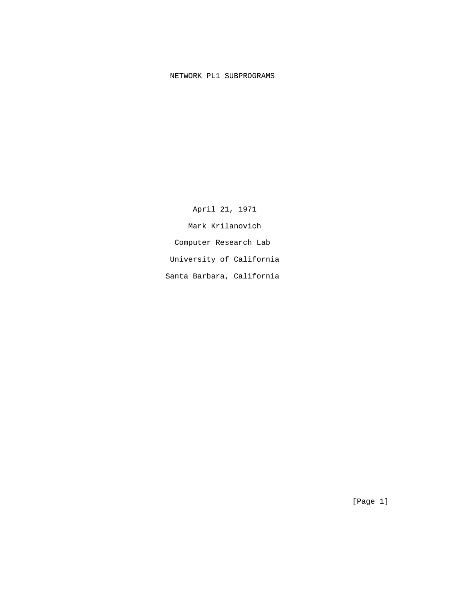# NETWORK PL1 SUBPROGRAMS

 April 21, 1971 Mark Krilanovich Computer Research Lab University of California Santa Barbara, California

[Page 1]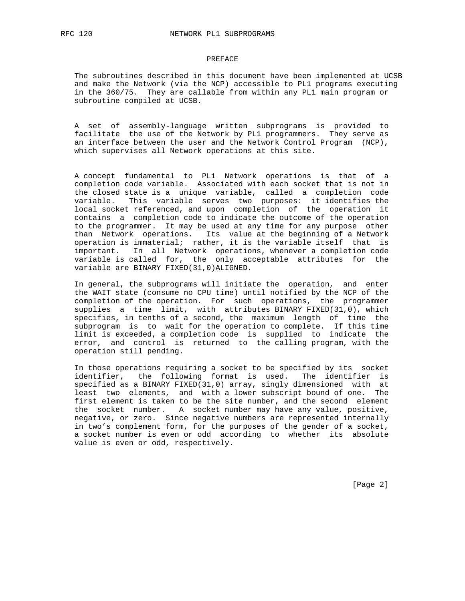### PREFACE

 The subroutines described in this document have been implemented at UCSB and make the Network (via the NCP) accessible to PL1 programs executing in the 360/75. They are callable from within any PL1 main program or subroutine compiled at UCSB.

 A set of assembly-language written subprograms is provided to facilitate the use of the Network by PL1 programmers. They serve as an interface between the user and the Network Control Program (NCP), which supervises all Network operations at this site.

 A concept fundamental to PL1 Network operations is that of a completion code variable. Associated with each socket that is not in the closed state is a unique variable, called a completion code variable. This variable serves two purposes: it identifies the local socket referenced, and upon completion of the operation it contains a completion code to indicate the outcome of the operation to the programmer. It may be used at any time for any purpose other than Network operations. Its value at the beginning of a Network operation is immaterial; rather, it is the variable itself that is important. In all Network operations, whenever a completion code variable is called for, the only acceptable attributes for the variable are BINARY FIXED(31,0)ALIGNED.

 In general, the subprograms will initiate the operation, and enter the WAIT state (consume no CPU time) until notified by the NCP of the completion of the operation. For such operations, the programmer supplies a time limit, with attributes BINARY FIXED(31,0), which specifies, in tenths of a second, the maximum length of time the subprogram is to wait for the operation to complete. If this time limit is exceeded, a completion code is supplied to indicate the error, and control is returned to the calling program, with the operation still pending.

 In those operations requiring a socket to be specified by its socket identifier, the following format is used. The identifier is specified as a BINARY FIXED(31,0) array, singly dimensioned with at least two elements, and with a lower subscript bound of one. The first element is taken to be the site number, and the second element the socket number. A socket number may have any value, positive, negative, or zero. Since negative numbers are represented internally in two's complement form, for the purposes of the gender of a socket, a socket number is even or odd according to whether its absolute value is even or odd, respectively.

[Page 2]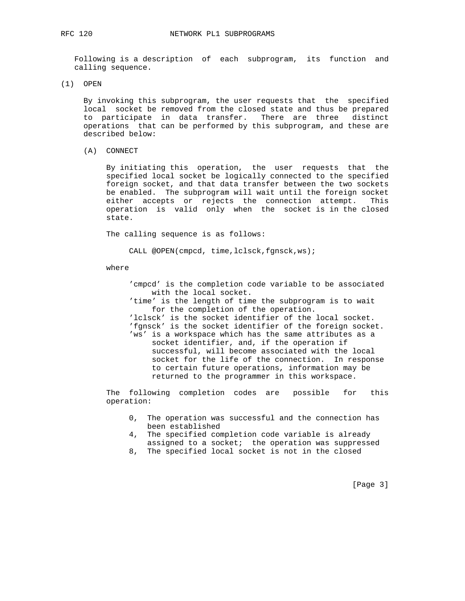Following is a description of each subprogram, its function and calling sequence.

(1) OPEN

 By invoking this subprogram, the user requests that the specified local socket be removed from the closed state and thus be prepared to participate in data transfer. There are three distinct operations that can be performed by this subprogram, and these are described below:

(A) CONNECT

 By initiating this operation, the user requests that the specified local socket be logically connected to the specified foreign socket, and that data transfer between the two sockets be enabled. The subprogram will wait until the foreign socket either accepts or rejects the connection attempt. This operation is valid only when the socket is in the closed state.

The calling sequence is as follows:

CALL @OPEN(cmpcd, time,lclsck,fgnsck,ws);

where

 'cmpcd' is the completion code variable to be associated with the local socket. 'time' is the length of time the subprogram is to wait for the completion of the operation. 'lclsck' is the socket identifier of the local socket. 'fgnsck' is the socket identifier of the foreign socket. 'ws' is a workspace which has the same attributes as a socket identifier, and, if the operation if successful, will become associated with the local socket for the life of the connection. In response to certain future operations, information may be returned to the programmer in this workspace.

 The following completion codes are possible for this operation:

- 0, The operation was successful and the connection has been established
- 4, The specified completion code variable is already assigned to a socket; the operation was suppressed
- 8, The specified local socket is not in the closed

[Page 3]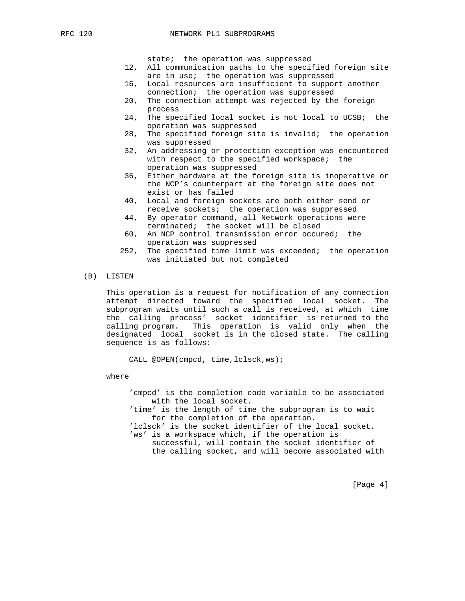state; the operation was suppressed

- 12, All communication paths to the specified foreign site are in use; the operation was suppressed
- 16, Local resources are insufficient to support another connection; the operation was suppressed
- 20, The connection attempt was rejected by the foreign process
- 24, The specified local socket is not local to UCSB; the operation was suppressed
- 28, The specified foreign site is invalid; the operation was suppressed
- 32, An addressing or protection exception was encountered with respect to the specified workspace; the operation was suppressed
- 36, Either hardware at the foreign site is inoperative or the NCP's counterpart at the foreign site does not exist or has failed
- 40, Local and foreign sockets are both either send or receive sockets; the operation was suppressed
- 44, By operator command, all Network operations were terminated; the socket will be closed
- 60, An NCP control transmission error occured; the operation was suppressed
- 252, The specified time limit was exceeded; the operation was initiated but not completed
- (B) LISTEN

 This operation is a request for notification of any connection attempt directed toward the specified local socket. The subprogram waits until such a call is received, at which time the calling process' socket identifier is returned to the calling program. This operation is valid only when the designated local socket is in the closed state. The calling sequence is as follows:

CALL @OPEN(cmpcd, time,lclsck,ws);

where

 'cmpcd' is the completion code variable to be associated with the local socket. 'time' is the length of time the subprogram is to wait for the completion of the operation. 'lclsck' is the socket identifier of the local socket. 'ws' is a workspace which, if the operation is successful, will contain the socket identifier of the calling socket, and will become associated with

[Page 4]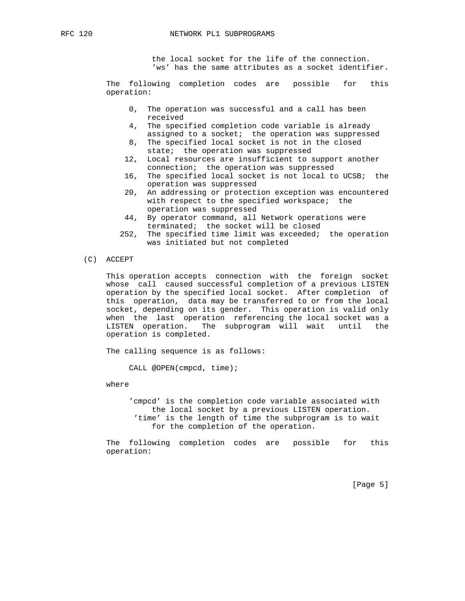the local socket for the life of the connection. 'ws' has the same attributes as a socket identifier.

 The following completion codes are possible for this operation:

- 0, The operation was successful and a call has been received
- 4, The specified completion code variable is already assigned to a socket; the operation was suppressed
- 8, The specified local socket is not in the closed state; the operation was suppressed
- 12, Local resources are insufficient to support another connection; the operation was suppressed
- 16, The specified local socket is not local to UCSB; the operation was suppressed
- 20, An addressing or protection exception was encountered with respect to the specified workspace; the operation was suppressed
- 44, By operator command, all Network operations were terminated; the socket will be closed
- 252, The specified time limit was exceeded; the operation was initiated but not completed
- (C) ACCEPT

 This operation accepts connection with the foreign socket whose call caused successful completion of a previous LISTEN operation by the specified local socket. After completion of this operation, data may be transferred to or from the local socket, depending on its gender. This operation is valid only when the last operation referencing the local socket was a LISTEN operation. The subprogram will wait until the operation is completed.

The calling sequence is as follows:

CALL @OPEN(cmpcd, time);

where

 'cmpcd' is the completion code variable associated with the local socket by a previous LISTEN operation. 'time' is the length of time the subprogram is to wait for the completion of the operation.

 The following completion codes are possible for this operation:

[Page 5]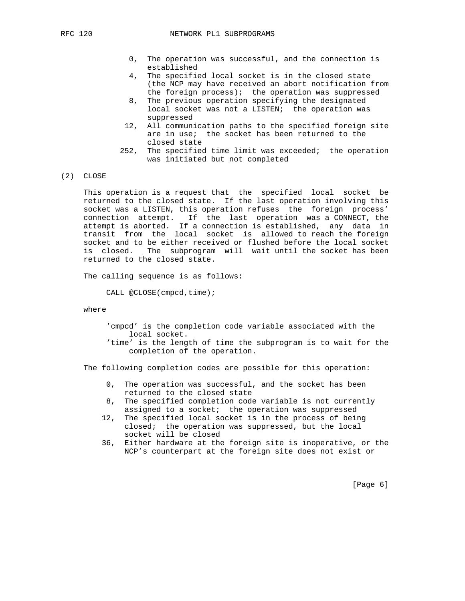- 0, The operation was successful, and the connection is established
- 4, The specified local socket is in the closed state (the NCP may have received an abort notification from
- the foreign process); the operation was suppressed<br>8. The previous operation specifying the designated The previous operation specifying the designated local socket was not a LISTEN; the operation was suppressed
- 12, All communication paths to the specified foreign site are in use; the socket has been returned to the closed state
- 252, The specified time limit was exceeded; the operation was initiated but not completed
- (2) CLOSE

 This operation is a request that the specified local socket be returned to the closed state. If the last operation involving this socket was a LISTEN, this operation refuses the foreign process' connection attempt. If the last operation was a CONNECT, the attempt is aborted. If a connection is established, any data in transit from the local socket is allowed to reach the foreign socket and to be either received or flushed before the local socket is closed. The subprogram will wait until the socket has been returned to the closed state.

The calling sequence is as follows:

CALL @CLOSE(cmpcd,time);

### where

 'cmpcd' is the completion code variable associated with the local socket.

 'time' is the length of time the subprogram is to wait for the completion of the operation.

The following completion codes are possible for this operation:

- 0, The operation was successful, and the socket has been returned to the closed state
- 8, The specified completion code variable is not currently assigned to a socket; the operation was suppressed
- 12, The specified local socket is in the process of being closed; the operation was suppressed, but the local socket will be closed
- 36, Either hardware at the foreign site is inoperative, or the NCP's counterpart at the foreign site does not exist or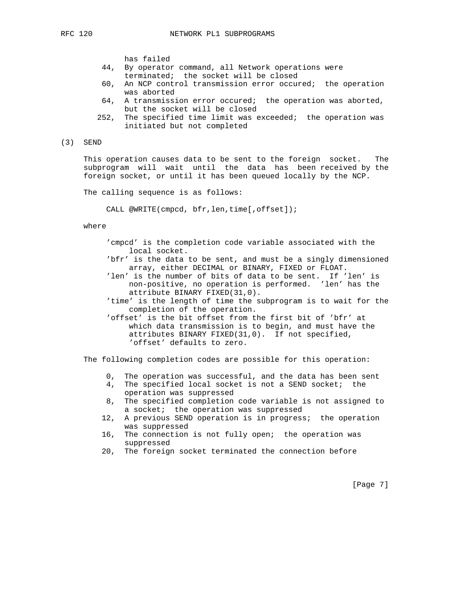has failed

- 44, By operator command, all Network operations were terminated; the socket will be closed
- 60, An NCP control transmission error occured; the operation was aborted
- 64, A transmission error occured; the operation was aborted, but the socket will be closed
- 252, The specified time limit was exceeded; the operation was initiated but not completed
- (3) SEND

 This operation causes data to be sent to the foreign socket. The subprogram will wait until the data has been received by the foreign socket, or until it has been queued locally by the NCP.

The calling sequence is as follows:

CALL @WRITE(cmpcd, bfr,len,time[,offset]);

where

- 'cmpcd' is the completion code variable associated with the local socket.
- 'bfr' is the data to be sent, and must be a singly dimensioned array, either DECIMAL or BINARY, FIXED or FLOAT.
- 'len' is the number of bits of data to be sent. If 'len' is non-positive, no operation is performed. 'len' has the attribute BINARY FIXED(31,0).
- 'time' is the length of time the subprogram is to wait for the completion of the operation.
- 'offset' is the bit offset from the first bit of 'bfr' at which data transmission is to begin, and must have the attributes BINARY FIXED(31,0). If not specified, 'offset' defaults to zero.

The following completion codes are possible for this operation:

- 0, The operation was successful, and the data has been sent
- 4, The specified local socket is not a SEND socket; the operation was suppressed
- 8, The specified completion code variable is not assigned to a socket; the operation was suppressed
- 12, A previous SEND operation is in progress; the operation was suppressed
- 16, The connection is not fully open; the operation was suppressed
- 20, The foreign socket terminated the connection before

[Page 7]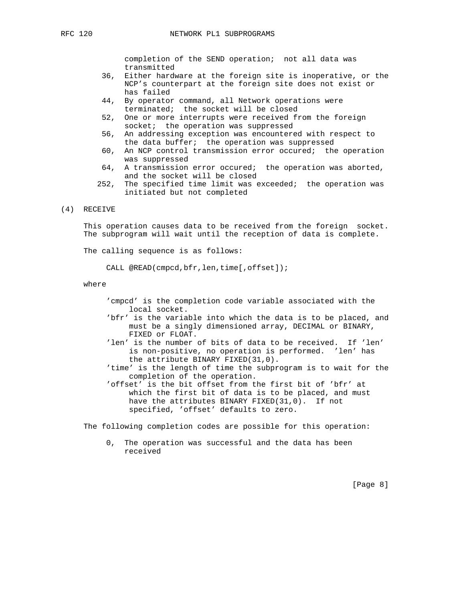completion of the SEND operation; not all data was transmitted

- 36, Either hardware at the foreign site is inoperative, or the NCP's counterpart at the foreign site does not exist or has failed
- 44, By operator command, all Network operations were terminated; the socket will be closed
- 52, One or more interrupts were received from the foreign socket; the operation was suppressed
- 56, An addressing exception was encountered with respect to the data buffer; the operation was suppressed
- 60, An NCP control transmission error occured; the operation was suppressed
- 64, A transmission error occured; the operation was aborted, and the socket will be closed
- 252, The specified time limit was exceeded; the operation was initiated but not completed

### (4) RECEIVE

 This operation causes data to be received from the foreign socket. The subprogram will wait until the reception of data is complete.

The calling sequence is as follows:

CALL @READ(cmpcd,bfr,len,time[,offset]);

where

- 'cmpcd' is the completion code variable associated with the local socket.
- 'bfr' is the variable into which the data is to be placed, and must be a singly dimensioned array, DECIMAL or BINARY, FIXED or FLOAT.
- 'len' is the number of bits of data to be received. If 'len' is non-positive, no operation is performed. 'len' has the attribute BINARY FIXED(31,0).
- 'time' is the length of time the subprogram is to wait for the completion of the operation.
- 'offset' is the bit offset from the first bit of 'bfr' at which the first bit of data is to be placed, and must have the attributes BINARY FIXED(31,0). If not specified, 'offset' defaults to zero.

The following completion codes are possible for this operation:

 0, The operation was successful and the data has been received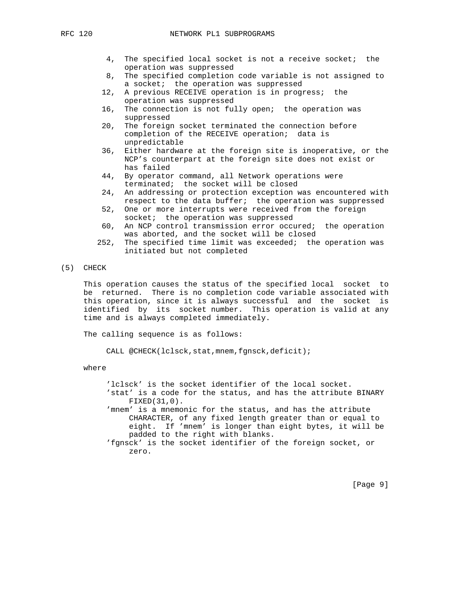### RFC 120 NETWORK PL1 SUBPROGRAMS

- 4, The specified local socket is not a receive socket; the operation was suppressed
- 8, The specified completion code variable is not assigned to a socket; the operation was suppressed
- 12, A previous RECEIVE operation is in progress; the operation was suppressed
- 16, The connection is not fully open; the operation was suppressed
- 20, The foreign socket terminated the connection before completion of the RECEIVE operation; data is unpredictable
- 36, Either hardware at the foreign site is inoperative, or the NCP's counterpart at the foreign site does not exist or has failed
- 44, By operator command, all Network operations were terminated; the socket will be closed
- 24, An addressing or protection exception was encountered with respect to the data buffer; the operation was suppressed
- 52, One or more interrupts were received from the foreign socket; the operation was suppressed
- 60, An NCP control transmission error occured; the operation was aborted, and the socket will be closed
- 252, The specified time limit was exceeded; the operation was initiated but not completed
- (5) CHECK

 This operation causes the status of the specified local socket to be returned. There is no completion code variable associated with this operation, since it is always successful and the socket is identified by its socket number. This operation is valid at any time and is always completed immediately.

The calling sequence is as follows:

CALL @CHECK(lclsck,stat,mnem,fgnsck,deficit);

where

- 'lclsck' is the socket identifier of the local socket. 'stat' is a code for the status, and has the attribute BINARY FIXED(31,0).
- 'mnem' is a mnemonic for the status, and has the attribute CHARACTER, of any fixed length greater than or equal to eight. If 'mnem' is longer than eight bytes, it will be padded to the right with blanks.

 <sup>&#</sup>x27;fgnsck' is the socket identifier of the foreign socket, or zero.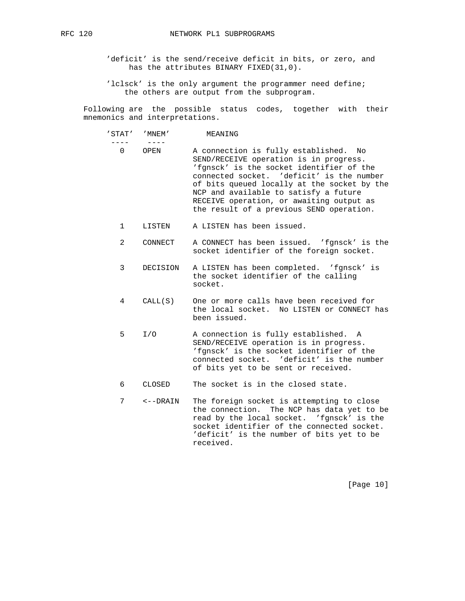'deficit' is the send/receive deficit in bits, or zero, and has the attributes BINARY FIXED(31,0).

'lclsck' is the only argument the programmer need define; the others are output from the subprogram.

 Following are the possible status codes, together with their mnemonics and interpretations.

 ---- ---- 0 OPEN A connection is fully established. No SEND/RECEIVE operation is in progress. 'fgnsck' is the socket identifier of the connected socket. 'deficit' is the number of bits queued locally at the socket by the NCP and available to satisfy a future RECEIVE operation, or awaiting output as the result of a previous SEND operation.

1 LISTEN A LISTEN has been issued.

'STAT' 'MNEM' MEANING

- 2 CONNECT A CONNECT has been issued. 'fgnsck' is the socket identifier of the foreign socket.
- 3 DECISION A LISTEN has been completed. 'fgnsck' is the socket identifier of the calling socket.
- 4 CALL(S) One or more calls have been received for the local socket. No LISTEN or CONNECT has been issued.
- 5 I/O A connection is fully established. A SEND/RECEIVE operation is in progress. 'fgnsck' is the socket identifier of the connected socket. 'deficit' is the number of bits yet to be sent or received.
- 6 CLOSED The socket is in the closed state.
- 7 <--DRAIN The foreign socket is attempting to close the connection. The NCP has data yet to be read by the local socket. 'fgnsck' is the socket identifier of the connected socket. 'deficit' is the number of bits yet to be received.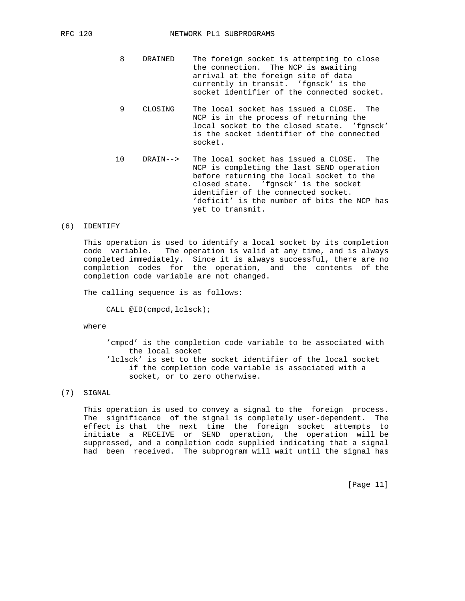- 8 DRAINED The foreign socket is attempting to close the connection. The NCP is awaiting arrival at the foreign site of data currently in transit. 'fgnsck' is the socket identifier of the connected socket.
- 9 CLOSING The local socket has issued a CLOSE. The NCP is in the process of returning the local socket to the closed state. 'fgnsck' is the socket identifier of the connected socket.
- 10 DRAIN--> The local socket has issued a CLOSE. The NCP is completing the last SEND operation before returning the local socket to the closed state. 'fgnsck' is the socket identifier of the connected socket. 'deficit' is the number of bits the NCP has yet to transmit.

#### (6) IDENTIFY

 This operation is used to identify a local socket by its completion code variable. The operation is valid at any time, and is always completed immediately. Since it is always successful, there are no completion codes for the operation, and the contents of the completion code variable are not changed.

The calling sequence is as follows:

CALL @ID(cmpcd,lclsck);

where

 'cmpcd' is the completion code variable to be associated with the local socket 'lclsck' is set to the socket identifier of the local socket if the completion code variable is associated with a socket, or to zero otherwise.

## (7) SIGNAL

 This operation is used to convey a signal to the foreign process. The significance of the signal is completely user-dependent. The effect is that the next time the foreign socket attempts to initiate a RECEIVE or SEND operation, the operation will be suppressed, and a completion code supplied indicating that a signal had been received. The subprogram will wait until the signal has

[Page 11]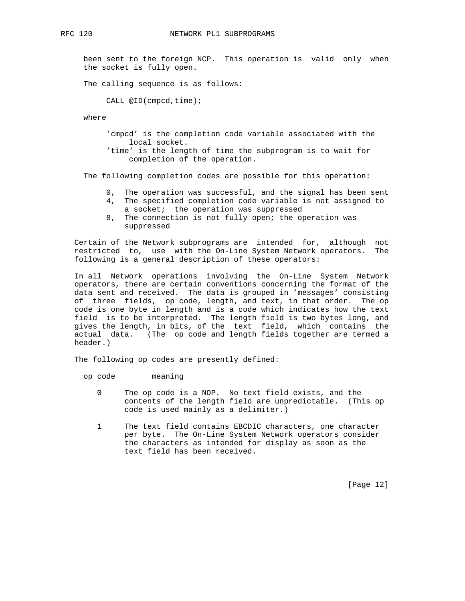been sent to the foreign NCP. This operation is valid only when the socket is fully open.

The calling sequence is as follows:

CALL @ID(cmpcd,time);

where

 'cmpcd' is the completion code variable associated with the local socket. 'time' is the length of time the subprogram is to wait for

The following completion codes are possible for this operation:

completion of the operation.

- 0, The operation was successful, and the signal has been sent
- 4, The specified completion code variable is not assigned to a socket; the operation was suppressed
- 8, The connection is not fully open; the operation was suppressed

 Certain of the Network subprograms are intended for, although not restricted to, use with the On-Line System Network operators. The following is a general description of these operators:

 In all Network operations involving the On-Line System Network operators, there are certain conventions concerning the format of the data sent and received. The data is grouped in 'messages' consisting of three fields, op code, length, and text, in that order. The op code is one byte in length and is a code which indicates how the text field is to be interpreted. The length field is two bytes long, and gives the length, in bits, of the text field, which contains the actual data. (The op code and length fields together are termed a header.)

The following op codes are presently defined:

op code meaning

- 0 The op code is a NOP. No text field exists, and the contents of the length field are unpredictable. (This op code is used mainly as a delimiter.)
- 1 The text field contains EBCDIC characters, one character per byte. The On-Line System Network operators consider the characters as intended for display as soon as the text field has been received.

[Page 12]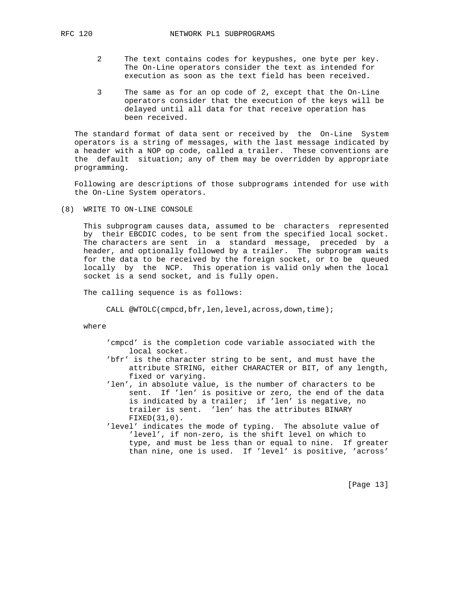- - 2 The text contains codes for keypushes, one byte per key. The On-Line operators consider the text as intended for execution as soon as the text field has been received.
	- 3 The same as for an op code of 2, except that the On-Line operators consider that the execution of the keys will be delayed until all data for that receive operation has been received.

 The standard format of data sent or received by the On-Line System operators is a string of messages, with the last message indicated by a header with a NOP op code, called a trailer. These conventions are the default situation; any of them may be overridden by appropriate programming.

 Following are descriptions of those subprograms intended for use with the On-Line System operators.

(8) WRITE TO ON-LINE CONSOLE

 This subprogram causes data, assumed to be characters represented by their EBCDIC codes, to be sent from the specified local socket. The characters are sent in a standard message, preceded by a header, and optionally followed by a trailer. The subprogram waits for the data to be received by the foreign socket, or to be queued locally by the NCP. This operation is valid only when the local socket is a send socket, and is fully open.

The calling sequence is as follows:

CALL @WTOLC(cmpcd,bfr,len,level,across,down,time);

where

- 'cmpcd' is the completion code variable associated with the local socket.
- 'bfr' is the character string to be sent, and must have the attribute STRING, either CHARACTER or BIT, of any length, fixed or varying.
- 'len', in absolute value, is the number of characters to be sent. If 'len' is positive or zero, the end of the data is indicated by a trailer; if 'len' is negative, no trailer is sent. 'len' has the attributes BINARY FIXED(31,0).
- 'level' indicates the mode of typing. The absolute value of 'level', if non-zero, is the shift level on which to type, and must be less than or equal to nine. If greater than nine, one is used. If 'level' is positive, 'across'

[Page 13]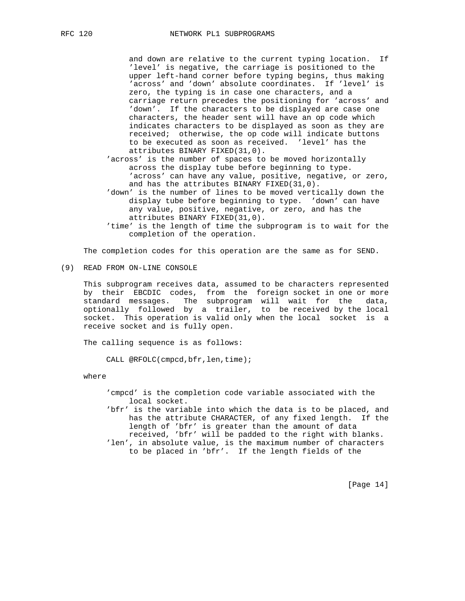and down are relative to the current typing location. If 'level' is negative, the carriage is positioned to the upper left-hand corner before typing begins, thus making 'across' and 'down' absolute coordinates. If 'level' is zero, the typing is in case one characters, and a carriage return precedes the positioning for 'across' and 'down'. If the characters to be displayed are case one characters, the header sent will have an op code which indicates characters to be displayed as soon as they are received; otherwise, the op code will indicate buttons to be executed as soon as received. 'level' has the attributes BINARY FIXED(31,0).

 'across' is the number of spaces to be moved horizontally across the display tube before beginning to type. 'across' can have any value, positive, negative, or zero, and has the attributes BINARY FIXED(31,0).

 'down' is the number of lines to be moved vertically down the display tube before beginning to type. 'down' can have any value, positive, negative, or zero, and has the attributes BINARY FIXED(31,0).

 'time' is the length of time the subprogram is to wait for the completion of the operation.

The completion codes for this operation are the same as for SEND.

(9) READ FROM ON-LINE CONSOLE

 This subprogram receives data, assumed to be characters represented by their EBCDIC codes, from the foreign socket in one or more standard messages. The subprogram will wait for the data, optionally followed by a trailer, to be received by the local socket. This operation is valid only when the local socket is a receive socket and is fully open.

The calling sequence is as follows:

CALL @RFOLC(cmpcd,bfr,len,time);

where

 'cmpcd' is the completion code variable associated with the local socket.

 'bfr' is the variable into which the data is to be placed, and has the attribute CHARACTER, of any fixed length. If the length of 'bfr' is greater than the amount of data received, 'bfr' will be padded to the right with blanks. 'len', in absolute value, is the maximum number of characters to be placed in 'bfr'. If the length fields of the

[Page 14]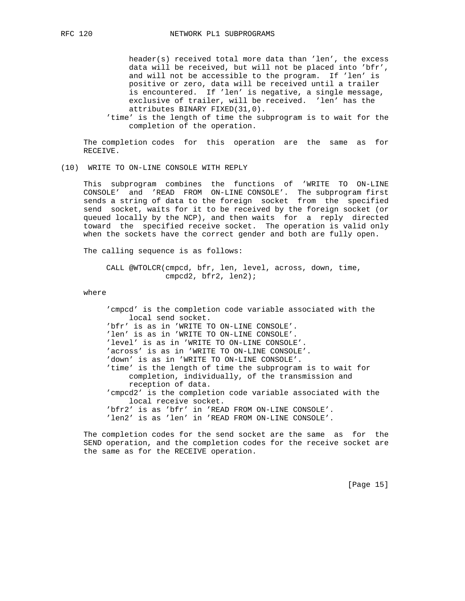header(s) received total more data than 'len', the excess data will be received, but will not be placed into 'bfr', and will not be accessible to the program. If 'len' is positive or zero, data will be received until a trailer is encountered. If 'len' is negative, a single message, exclusive of trailer, will be received. 'len' has the attributes BINARY FIXED(31,0).

 'time' is the length of time the subprogram is to wait for the completion of the operation.

 The completion codes for this operation are the same as for RECEIVE.

### (10) WRITE TO ON-LINE CONSOLE WITH REPLY

 This subprogram combines the functions of 'WRITE TO ON-LINE CONSOLE' and 'READ FROM ON-LINE CONSOLE'. The subprogram first sends a string of data to the foreign socket from the specified send socket, waits for it to be received by the foreign socket (or queued locally by the NCP), and then waits for a reply directed toward the specified receive socket. The operation is valid only when the sockets have the correct gender and both are fully open.

The calling sequence is as follows:

 CALL @WTOLCR(cmpcd, bfr, len, level, across, down, time, cmpcd2, bfr2, len2);

where

 'cmpcd' is the completion code variable associated with the local send socket. 'bfr' is as in 'WRITE TO ON-LINE CONSOLE'. 'len' is as in 'WRITE TO ON-LINE CONSOLE'. 'level' is as in 'WRITE TO ON-LINE CONSOLE'. 'across' is as in 'WRITE TO ON-LINE CONSOLE'. 'down' is as in 'WRITE TO ON-LINE CONSOLE'. 'time' is the length of time the subprogram is to wait for completion, individually, of the transmission and reception of data. 'cmpcd2' is the completion code variable associated with the local receive socket. 'bfr2' is as 'bfr' in 'READ FROM ON-LINE CONSOLE'. 'len2' is as 'len' in 'READ FROM ON-LINE CONSOLE'.

 The completion codes for the send socket are the same as for the SEND operation, and the completion codes for the receive socket are the same as for the RECEIVE operation.

[Page 15]